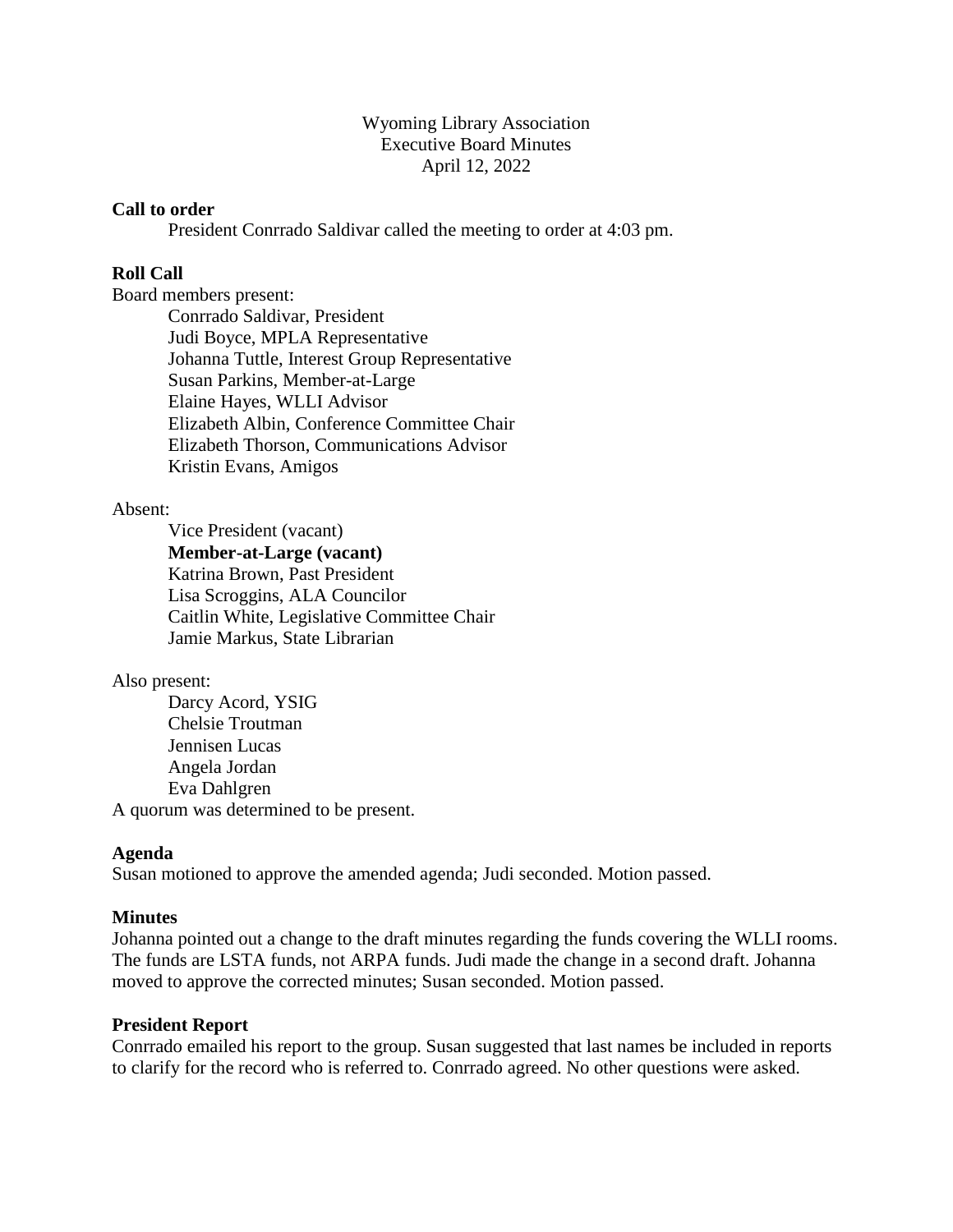Wyoming Library Association Executive Board Minutes April 12, 2022

### **Call to order**

President Conrrado Saldivar called the meeting to order at 4:03 pm.

## **Roll Call**

Board members present:

Conrrado Saldivar, President Judi Boyce, MPLA Representative Johanna Tuttle, Interest Group Representative Susan Parkins, Member-at-Large Elaine Hayes, WLLI Advisor Elizabeth Albin, Conference Committee Chair Elizabeth Thorson, Communications Advisor Kristin Evans, Amigos

#### Absent:

Vice President (vacant) **Member-at-Large (vacant)** Katrina Brown, Past President Lisa Scroggins, ALA Councilor Caitlin White, Legislative Committee Chair Jamie Markus, State Librarian

#### Also present:

Darcy Acord, YSIG Chelsie Troutman Jennisen Lucas Angela Jordan Eva Dahlgren A quorum was determined to be present.

#### **Agenda**

Susan motioned to approve the amended agenda; Judi seconded. Motion passed.

#### **Minutes**

Johanna pointed out a change to the draft minutes regarding the funds covering the WLLI rooms. The funds are LSTA funds, not ARPA funds. Judi made the change in a second draft. Johanna moved to approve the corrected minutes; Susan seconded. Motion passed.

### **President Report**

Conrrado emailed his report to the group. Susan suggested that last names be included in reports to clarify for the record who is referred to. Conrrado agreed. No other questions were asked.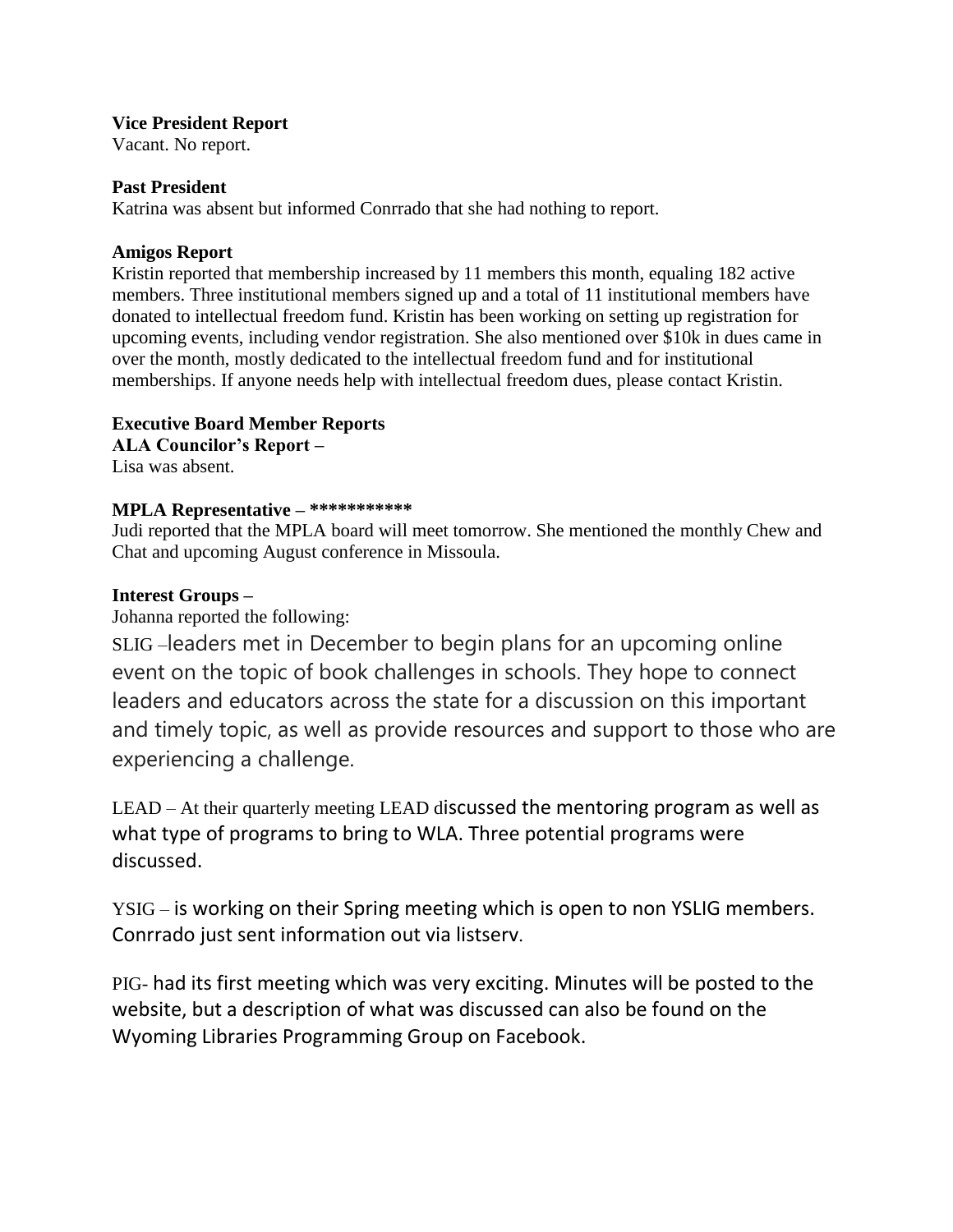## **Vice President Report**

Vacant. No report.

## **Past President**

Katrina was absent but informed Conrrado that she had nothing to report.

## **Amigos Report**

Kristin reported that membership increased by 11 members this month, equaling 182 active members. Three institutional members signed up and a total of 11 institutional members have donated to intellectual freedom fund. Kristin has been working on setting up registration for upcoming events, including vendor registration. She also mentioned over \$10k in dues came in over the month, mostly dedicated to the intellectual freedom fund and for institutional memberships. If anyone needs help with intellectual freedom dues, please contact Kristin.

# **Executive Board Member Reports**

**ALA Councilor's Report –** Lisa was absent.

# **MPLA Representative – \*\*\*\*\*\*\*\*\*\*\***

Judi reported that the MPLA board will meet tomorrow. She mentioned the monthly Chew and Chat and upcoming August conference in Missoula.

## **Interest Groups –**

Johanna reported the following:

SLIG –leaders met in December to begin plans for an upcoming online event on the topic of book challenges in schools. They hope to connect leaders and educators across the state for a discussion on this important and timely topic, as well as provide resources and support to those who are experiencing a challenge.

LEAD – At their quarterly meeting LEAD discussed the mentoring program as well as what type of programs to bring to WLA. Three potential programs were discussed.

YSIG – is working on their Spring meeting which is open to non YSLIG members. Conrrado just sent information out via listserv.

PIG- had its first meeting which was very exciting. Minutes will be posted to the website, but a description of what was discussed can also be found on the Wyoming Libraries Programming Group on Facebook.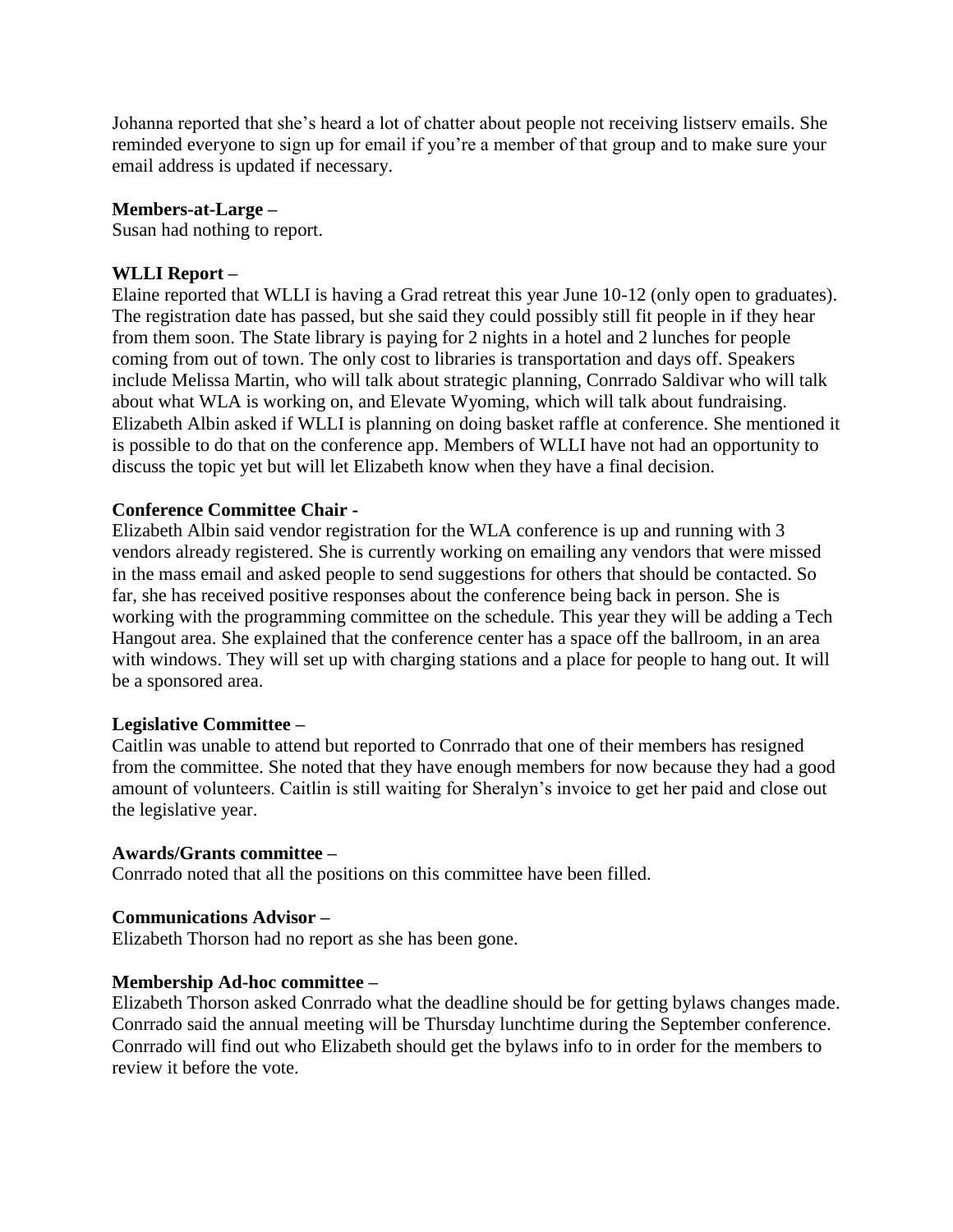Johanna reported that she's heard a lot of chatter about people not receiving listserv emails. She reminded everyone to sign up for email if you're a member of that group and to make sure your email address is updated if necessary.

### **Members-at-Large –**

Susan had nothing to report.

### **WLLI Report –**

Elaine reported that WLLI is having a Grad retreat this year June 10-12 (only open to graduates). The registration date has passed, but she said they could possibly still fit people in if they hear from them soon. The State library is paying for 2 nights in a hotel and 2 lunches for people coming from out of town. The only cost to libraries is transportation and days off. Speakers include Melissa Martin, who will talk about strategic planning, Conrrado Saldivar who will talk about what WLA is working on, and Elevate Wyoming, which will talk about fundraising. Elizabeth Albin asked if WLLI is planning on doing basket raffle at conference. She mentioned it is possible to do that on the conference app. Members of WLLI have not had an opportunity to discuss the topic yet but will let Elizabeth know when they have a final decision.

### **Conference Committee Chair -**

Elizabeth Albin said vendor registration for the WLA conference is up and running with 3 vendors already registered. She is currently working on emailing any vendors that were missed in the mass email and asked people to send suggestions for others that should be contacted. So far, she has received positive responses about the conference being back in person. She is working with the programming committee on the schedule. This year they will be adding a Tech Hangout area. She explained that the conference center has a space off the ballroom, in an area with windows. They will set up with charging stations and a place for people to hang out. It will be a sponsored area.

### **Legislative Committee –**

Caitlin was unable to attend but reported to Conrrado that one of their members has resigned from the committee. She noted that they have enough members for now because they had a good amount of volunteers. Caitlin is still waiting for Sheralyn's invoice to get her paid and close out the legislative year.

### **Awards/Grants committee –**

Conrrado noted that all the positions on this committee have been filled.

### **Communications Advisor –**

Elizabeth Thorson had no report as she has been gone.

### **Membership Ad-hoc committee –**

Elizabeth Thorson asked Conrrado what the deadline should be for getting bylaws changes made. Conrrado said the annual meeting will be Thursday lunchtime during the September conference. Conrrado will find out who Elizabeth should get the bylaws info to in order for the members to review it before the vote.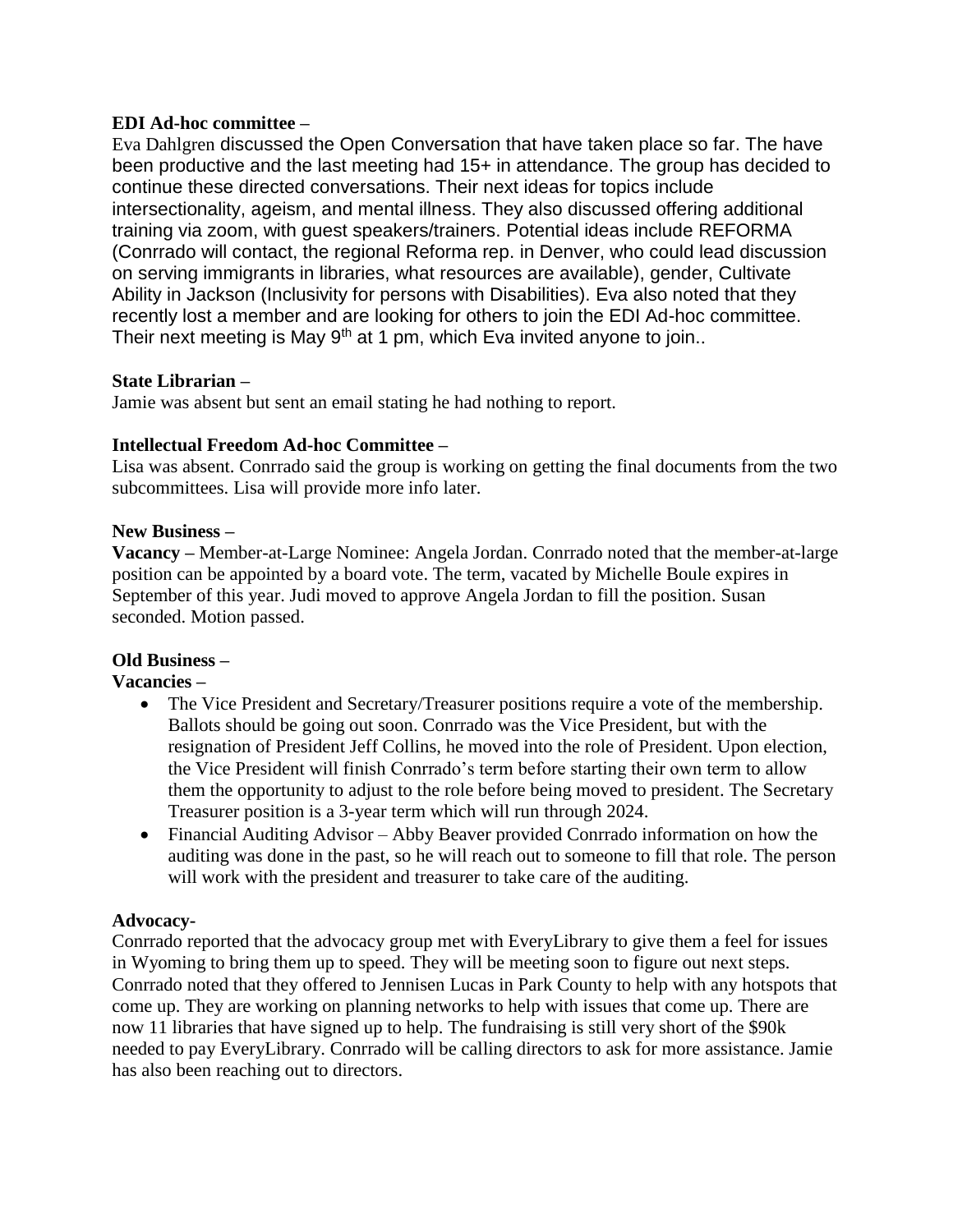# **EDI Ad-hoc committee –**

Eva Dahlgren discussed the Open Conversation that have taken place so far. The have been productive and the last meeting had 15+ in attendance. The group has decided to continue these directed conversations. Their next ideas for topics include intersectionality, ageism, and mental illness. They also discussed offering additional training via zoom, with guest speakers/trainers. Potential ideas include REFORMA (Conrrado will contact, the regional Reforma rep. in Denver, who could lead discussion on serving immigrants in libraries, what resources are available), gender, Cultivate Ability in Jackson (Inclusivity for persons with Disabilities). Eva also noted that they recently lost a member and are looking for others to join the EDI Ad-hoc committee. Their next meeting is May 9<sup>th</sup> at 1 pm, which Eva invited anyone to join..

## **State Librarian –**

Jamie was absent but sent an email stating he had nothing to report.

## **Intellectual Freedom Ad-hoc Committee –**

Lisa was absent. Conrrado said the group is working on getting the final documents from the two subcommittees. Lisa will provide more info later.

## **New Business –**

**Vacancy –** Member-at-Large Nominee: Angela Jordan. Conrrado noted that the member-at-large position can be appointed by a board vote. The term, vacated by Michelle Boule expires in September of this year. Judi moved to approve Angela Jordan to fill the position. Susan seconded. Motion passed.

## **Old Business –**

## **Vacancies –**

- The Vice President and Secretary/Treasurer positions require a vote of the membership. Ballots should be going out soon. Conrrado was the Vice President, but with the resignation of President Jeff Collins, he moved into the role of President. Upon election, the Vice President will finish Conrrado's term before starting their own term to allow them the opportunity to adjust to the role before being moved to president. The Secretary Treasurer position is a 3-year term which will run through 2024.
- Financial Auditing Advisor Abby Beaver provided Conrrado information on how the auditing was done in the past, so he will reach out to someone to fill that role. The person will work with the president and treasurer to take care of the auditing.

## **Advocacy-**

Conrrado reported that the advocacy group met with EveryLibrary to give them a feel for issues in Wyoming to bring them up to speed. They will be meeting soon to figure out next steps. Conrrado noted that they offered to Jennisen Lucas in Park County to help with any hotspots that come up. They are working on planning networks to help with issues that come up. There are now 11 libraries that have signed up to help. The fundraising is still very short of the \$90k needed to pay EveryLibrary. Conrrado will be calling directors to ask for more assistance. Jamie has also been reaching out to directors.